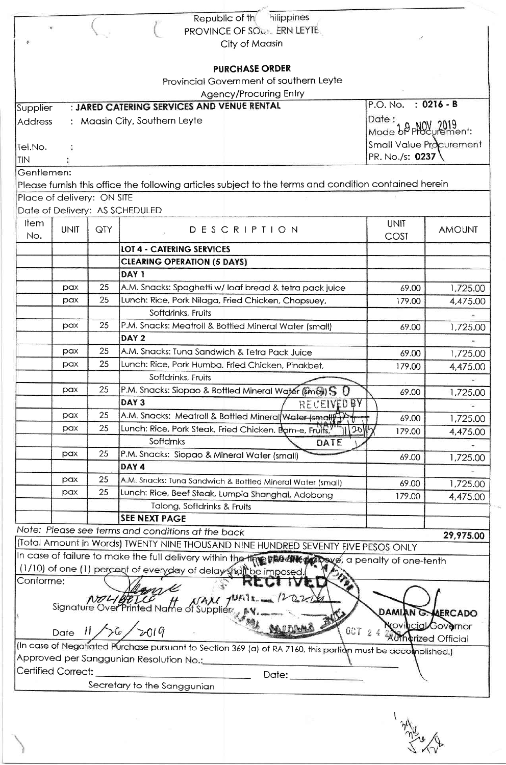|                |                            |     | hilippines<br>Republic of th                                                                                                                                   |                            |                    |
|----------------|----------------------------|-----|----------------------------------------------------------------------------------------------------------------------------------------------------------------|----------------------------|--------------------|
|                |                            |     | PROVINCE OF SOUT. ERN LEYTE                                                                                                                                    |                            |                    |
|                |                            |     | City of Maasin                                                                                                                                                 |                            |                    |
|                |                            |     |                                                                                                                                                                |                            |                    |
|                |                            |     | <b>PURCHASE ORDER</b>                                                                                                                                          |                            |                    |
|                |                            |     | Provincial Government of southern Leyte                                                                                                                        |                            |                    |
|                |                            |     | <b>Agency/Procuring Entry</b>                                                                                                                                  |                            |                    |
|                |                            |     | : JARED CATERING SERVICES AND VENUE RENTAL                                                                                                                     | $P.O. No. : 0216 - B$      |                    |
| Supplier       |                            |     |                                                                                                                                                                |                            |                    |
| <b>Address</b> |                            |     | : Maasin City, Southern Leyte                                                                                                                                  | Date:<br>Mode &P PHOY 2019 |                    |
|                |                            |     |                                                                                                                                                                |                            |                    |
| Tel.No.        |                            |     |                                                                                                                                                                | Small Value Procurement    |                    |
| TIN            |                            |     |                                                                                                                                                                | PR. No./s: 0237            |                    |
| Gentlemen:     |                            |     |                                                                                                                                                                |                            |                    |
|                |                            |     | Please furnish this office the following articles subject to the terms and condition contained herein                                                          |                            |                    |
|                | Place of delivery: ON SITE |     |                                                                                                                                                                |                            |                    |
|                |                            |     | Date of Delivery: AS SCHEDULED                                                                                                                                 |                            |                    |
| <b>Item</b>    |                            |     |                                                                                                                                                                | <b>UNIT</b>                |                    |
| No.            | <b>UNIT</b>                | QTY | DESCRIPTION                                                                                                                                                    | COST                       | <b>AMOUNT</b>      |
|                |                            |     | <b>LOT 4 - CATERING SERVICES</b>                                                                                                                               |                            |                    |
|                |                            |     |                                                                                                                                                                |                            |                    |
|                |                            |     | <b>CLEARING OPERATION (5 DAYS)</b>                                                                                                                             |                            |                    |
|                |                            |     | DAY <sub>1</sub>                                                                                                                                               |                            |                    |
|                | pax                        | 25  | A.M. Snacks: Spaghetti w/ loaf bread & tetra pack juice                                                                                                        | 69.00                      | 1,725.00           |
|                | pax                        | 25  | Lunch: Rice, Pork Nilaga, Fried Chicken, Chopsuey,                                                                                                             | 179.00                     | 4,475.00           |
|                |                            |     | Softdrinks, Fruits                                                                                                                                             |                            |                    |
|                | pax                        | 25  | P.M. Snacks: Meatroll & Bottled Mineral Water (small)                                                                                                          | 69.00                      | 1,725.00           |
|                |                            |     | DAY <sub>2</sub>                                                                                                                                               |                            |                    |
|                | pax                        | 25  | A.M. Snacks: Tuna Sandwich & Tetra Pack Juice                                                                                                                  | 69.00                      | 1,725.00           |
|                | pax                        | 25  | Lunch: Rice, Pork Humba, Fried Chicken, Pinakbet,                                                                                                              |                            |                    |
|                |                            |     | Softdrinks, Fruits                                                                                                                                             | 179.00                     | 4,475.00           |
|                | pax                        | 25  |                                                                                                                                                                |                            |                    |
|                |                            |     | P.M. Snacks: Siopao & Bottled Mineral Water (small) S                                                                                                          | 69.00                      | 1,725.00           |
|                |                            |     | DAY <sub>3</sub><br>RECEIVED BY                                                                                                                                |                            |                    |
|                | pax                        | 25  | A.M. Snacks: Meatroll & Bottled Mineral Water (small)                                                                                                          | 69.00                      | 1,725.00           |
|                | pax                        | 25  | Lunch: Rice, Pork Steak, Fried Chicken, Bam-e, Fruits,"<br>120                                                                                                 | 179.00                     | 4,475.00           |
|                |                            |     | Softdrnks<br>DATE                                                                                                                                              |                            |                    |
|                | pax                        | 25  | P.M. Snacks: Siopao & Mineral Water (small)                                                                                                                    | 69.00                      | 1,725.00           |
|                |                            |     | DAY 4                                                                                                                                                          |                            |                    |
|                | pax                        | 25  | A.M. Snacks: Tuna Sandwich & Bottled Mineral Water (small)                                                                                                     | 69.00                      | 1,725.00           |
|                | pax                        | 25  | Lunch: Rice, Beef Steak, Lumpia Shanghai, Adobong                                                                                                              | 179.00                     |                    |
|                |                            |     | Talong, Softdrinks & Fruits                                                                                                                                    |                            | 4,475.00           |
|                |                            |     | <b>SEE NEXT PAGE</b>                                                                                                                                           |                            |                    |
|                |                            |     | Note: Please see terms and conditions at the back                                                                                                              |                            |                    |
|                |                            |     |                                                                                                                                                                |                            | 29,975.00          |
|                |                            |     |                                                                                                                                                                |                            |                    |
|                |                            |     | (Total Amount in Words) TWENTY NINE THOUSAND NINE HUNDRED SEVENTY FIVE PESOS ONLY                                                                              |                            |                    |
|                |                            |     |                                                                                                                                                                |                            |                    |
|                |                            |     | In case of failure to make the full delivery within the the state of the cone of one-tenth<br>(1/10) of one (1) percent of everyday of delay shall be imposed. |                            |                    |
| Conforme:      |                            |     |                                                                                                                                                                |                            |                    |
|                |                            |     |                                                                                                                                                                |                            |                    |
|                |                            |     | NAM JUATE 120216                                                                                                                                               |                            |                    |
|                |                            |     | ne:<br>NOLIGETCE H NAM JUAT<br>Signature Over Printed Name of Supplier                                                                                         | DAMIAN G. MERCADO          |                    |
|                |                            |     |                                                                                                                                                                |                            | covincial Governor |
|                |                            |     | Date 11/26/2019<br>OCT 24                                                                                                                                      | <b>AUThorized Official</b> |                    |
|                |                            |     | (In case of Negotiated Purchase pursuant to Section 369 (a) of RA 7160, this portion must be accomplished.)                                                    |                            |                    |
|                |                            |     | Approved per Sanggunian Resolution No.:                                                                                                                        |                            |                    |
|                | <b>Certified Correct:</b>  |     | Date: __________<br>Secretary to the Sanggunian                                                                                                                |                            |                    |

where the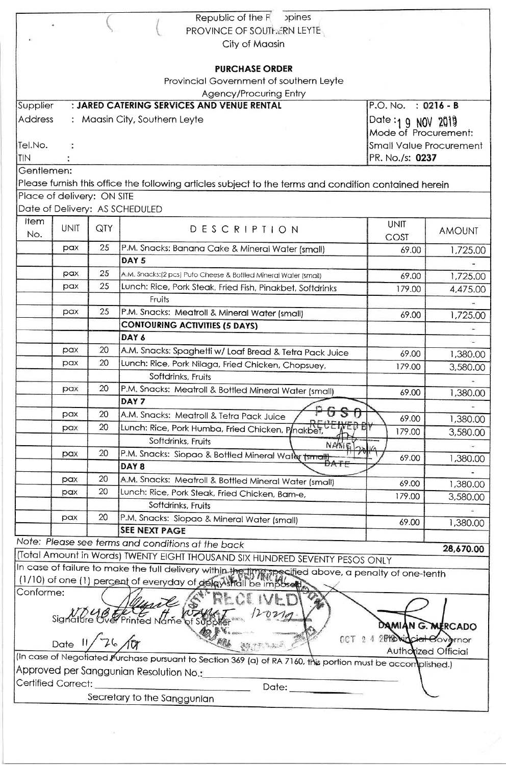| Republic of the R<br><b>poines</b>                                                                          |                 |     |                                                                                                       |                                |               |  |
|-------------------------------------------------------------------------------------------------------------|-----------------|-----|-------------------------------------------------------------------------------------------------------|--------------------------------|---------------|--|
|                                                                                                             |                 |     | PROVINCE OF SOUTHERN LEYTE                                                                            |                                |               |  |
|                                                                                                             |                 |     | City of Maasin                                                                                        |                                |               |  |
|                                                                                                             |                 |     |                                                                                                       |                                |               |  |
|                                                                                                             |                 |     | <b>PURCHASE ORDER</b>                                                                                 |                                |               |  |
|                                                                                                             |                 |     | Provincial Government of southern Leyte                                                               |                                |               |  |
|                                                                                                             |                 |     | <b>Agency/Procuring Entry</b>                                                                         |                                |               |  |
| Supplier                                                                                                    |                 |     | : JARED CATERING SERVICES AND VENUE RENTAL                                                            | $P.O. No. : 0216 - B$          |               |  |
| <b>Address</b>                                                                                              |                 |     | : Maasin City, Southern Leyte                                                                         | Date:19 N0V 2019               |               |  |
|                                                                                                             |                 |     |                                                                                                       | Mode of Procurement:           |               |  |
| Tel.No.                                                                                                     |                 |     |                                                                                                       | <b>Small Value Procurement</b> |               |  |
| TIN                                                                                                         | PR. No./s: 0237 |     |                                                                                                       |                                |               |  |
| Gentlemen:                                                                                                  |                 |     |                                                                                                       |                                |               |  |
|                                                                                                             |                 |     | Please furnish this office the following articles subject to the terms and condition contained herein |                                |               |  |
| Place of delivery: ON SITE                                                                                  |                 |     |                                                                                                       |                                |               |  |
|                                                                                                             |                 |     | Date of Delivery: AS SCHEDULED                                                                        |                                |               |  |
| <b>Item</b>                                                                                                 |                 |     |                                                                                                       | <b>UNIT</b>                    |               |  |
| No.                                                                                                         | <b>UNIT</b>     | QTY | DESCRIPTION                                                                                           |                                | <b>AMOUNT</b> |  |
|                                                                                                             | pax             | 25  | P.M. Snacks: Banana Cake & Mineral Water (small)                                                      | COST                           |               |  |
|                                                                                                             |                 |     | DAY <sub>5</sub>                                                                                      | 69.00                          | 1,725.00      |  |
|                                                                                                             |                 | 25  |                                                                                                       |                                |               |  |
|                                                                                                             | pax             |     | A.M. Snacks:(2 pcs) Puto Cheese & Bottled Mineral Water (small)                                       | 69.00                          | 1,725.00      |  |
|                                                                                                             | pax             | 25  | Lunch: Rice, Pork Steak, Fried Fish, Pinakbet, Softdrinks                                             | 179.00                         | 4,475.00      |  |
|                                                                                                             |                 |     | Fruits                                                                                                |                                |               |  |
|                                                                                                             | pax             | 25  | P.M. Snacks: Meatroll & Mineral Water (small)                                                         | 69.00                          | 1,725.00      |  |
|                                                                                                             |                 |     | <b>CONTOURING ACTIVITIES (5 DAYS)</b>                                                                 |                                |               |  |
|                                                                                                             |                 |     | DAY 6                                                                                                 |                                |               |  |
|                                                                                                             | pax             | 20  | A.M. Snacks: Spaghetti w/ Loaf Bread & Tetra Pack Juice                                               | 69.00                          | 1,380.00      |  |
|                                                                                                             | pax             | 20  | Lunch: Rice, Pork Nilaga, Fried Chicken, Chopsuey,                                                    | 179.00                         | 3,580.00      |  |
|                                                                                                             |                 |     | Softdrinks, Fruits                                                                                    |                                |               |  |
|                                                                                                             | pax             | 20  | P.M. Snacks: Meatroll & Bottled Mineral Water (small)                                                 | 69.00                          | 1,380.00      |  |
|                                                                                                             |                 |     | DAY 7                                                                                                 |                                |               |  |
|                                                                                                             | pax             | 20  | A.M. Snacks: Meatroll & Tetra Pack Juice                                                              | 69.00                          | 1,380.00      |  |
|                                                                                                             | pax             | 20  | Lunch: Rice, Pork Humba, Fried Chicken, Plnakbet,                                                     | 179.00                         | 3,580.00      |  |
|                                                                                                             |                 |     | Softdrinks, Fruits<br>NAME                                                                            |                                |               |  |
|                                                                                                             | pax             | 20  | P.M. Snacks: Siopao & Bottled Mineral Water (small)                                                   | 69.00                          | 1,380.00      |  |
|                                                                                                             |                 |     | DAY <sub>8</sub>                                                                                      |                                |               |  |
|                                                                                                             | pax             | 20  | A.M. Snacks: Meatroll & Bottled Mineral Water (small)                                                 | 69.00                          |               |  |
|                                                                                                             | pax             | 20  | Lunch: Rice, Pork Steak, Fried Chicken, Bam-e,                                                        |                                | 1,380.00      |  |
|                                                                                                             |                 |     | Softdrinks, Fruits                                                                                    | 179.00                         | 3,580.00      |  |
|                                                                                                             | pax             | 20  | P.M. Snacks: Siopao & Mineral Water (small)                                                           |                                |               |  |
|                                                                                                             |                 |     | <b>SEE NEXT PAGE</b>                                                                                  | 69.00                          | 1,380.00      |  |
|                                                                                                             |                 |     | Note: Please see terms and conditions at the back                                                     |                                |               |  |
|                                                                                                             |                 |     | (Total Amount in Words) TWENTY EIGHT THOUSAND SIX HUNDRED SEVENTY PESOS ONLY                          |                                | 28,670.00     |  |
|                                                                                                             |                 |     |                                                                                                       |                                |               |  |
|                                                                                                             |                 |     | In case of failure to make the full delivery within the time specified above, a penalty of one-tenth  |                                |               |  |
| (1/10) of one (1) percent of everyday of delay shall be imposed<br>Conforme:                                |                 |     |                                                                                                       |                                |               |  |
| yril                                                                                                        |                 |     |                                                                                                       |                                |               |  |
| Signature over Printed Name                                                                                 |                 |     |                                                                                                       |                                |               |  |
| DAMIAN G. MERCADO                                                                                           |                 |     |                                                                                                       |                                |               |  |
| 2010 Ninciet Covernor<br>Date 11/76/07<br>OCT<br>24                                                         |                 |     |                                                                                                       |                                |               |  |
| 多なでも、下海に<br>Authorized Official                                                                             |                 |     |                                                                                                       |                                |               |  |
| (In case of Negotiated Purchase pursuant to Section 369 (a) of RA 7160, this portion must be accomplished.) |                 |     |                                                                                                       |                                |               |  |
| Approved per Sanggunian Resolution No.: __________                                                          |                 |     |                                                                                                       |                                |               |  |
| Certified Correct:                                                                                          |                 |     | Date: __________<br>and the control of the control of the con-                                        |                                |               |  |
| Secretary to the Sanggunian                                                                                 |                 |     |                                                                                                       |                                |               |  |
|                                                                                                             |                 |     |                                                                                                       |                                |               |  |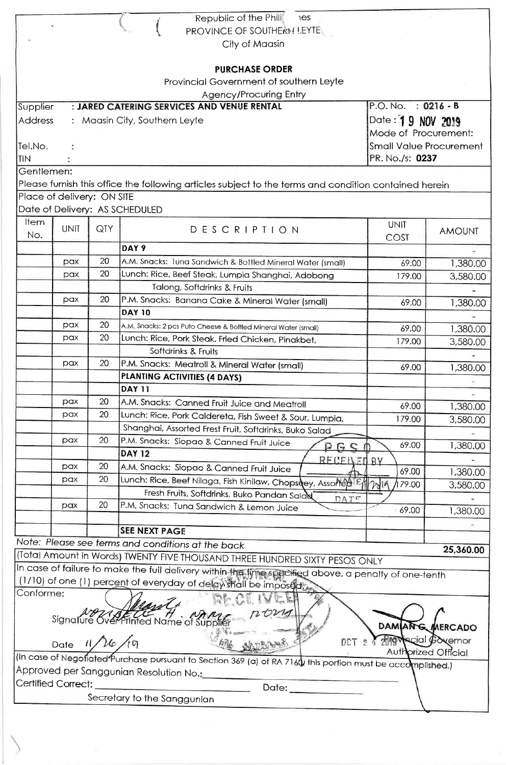|                            |                                                    |     | Republic of the Phili<br>es                                                                                |                           |               |  |
|----------------------------|----------------------------------------------------|-----|------------------------------------------------------------------------------------------------------------|---------------------------|---------------|--|
|                            |                                                    |     | PROVINCE OF SOUTHERN LEYTE                                                                                 |                           |               |  |
|                            | City of Maasin                                     |     |                                                                                                            |                           |               |  |
|                            |                                                    |     |                                                                                                            |                           |               |  |
|                            |                                                    |     | <b>PURCHASE ORDER</b>                                                                                      |                           |               |  |
|                            |                                                    |     | Provincial Government of southern Leyte                                                                    |                           |               |  |
|                            |                                                    |     | <b>Agency/Procuring Entry</b>                                                                              |                           |               |  |
| Supplier                   |                                                    |     | : JARED CATERING SERVICES AND VENUE RENTAL                                                                 | $P.O. No. : 0216 - B$     |               |  |
| <b>Address</b>             | Date: 19 NOV 2019<br>: Maasin City, Southern Leyte |     |                                                                                                            |                           |               |  |
|                            | Mode of Procurement:                               |     |                                                                                                            |                           |               |  |
| Tel.No.                    | <b>Small Value Procurement</b>                     |     |                                                                                                            |                           |               |  |
| <b>TIN</b>                 | PR. No./s: 0237                                    |     |                                                                                                            |                           |               |  |
| Gentlemen:                 |                                                    |     |                                                                                                            |                           |               |  |
|                            |                                                    |     | Please furnish this office the following articles subject to the terms and condition contained herein      |                           |               |  |
| Place of delivery: ON SITE |                                                    |     |                                                                                                            |                           |               |  |
|                            |                                                    |     | Date of Delivery: AS SCHEDULED                                                                             |                           |               |  |
| Item                       |                                                    |     |                                                                                                            |                           |               |  |
| No.                        | <b>UNIT</b>                                        | QTY | DESCRIPTION                                                                                                | <b>UNIT</b>               | <b>AMOUNT</b> |  |
|                            |                                                    |     | DAY 9                                                                                                      | COST                      |               |  |
|                            | pax                                                | 20  | A.M. Snacks: Tuna Sandwich & Bottled Mineral Water (small)                                                 |                           |               |  |
|                            | pax                                                | 20  |                                                                                                            | 69.00                     | 1,380.00      |  |
|                            |                                                    |     | Lunch: Rice, Beef Steak, Lumpia Shanghai, Adobong                                                          | 179.00                    | 3,580.00      |  |
|                            | pax                                                | 20  | Talong, Softdrinks & Fruits                                                                                |                           |               |  |
|                            |                                                    |     | P.M. Snacks: Banana Cake & Mineral Water (small)<br><b>DAY 10</b>                                          | 69.00                     | 1,380.00      |  |
|                            |                                                    | 20  |                                                                                                            |                           |               |  |
|                            | pax                                                | 20  | A.M. Snacks: 2 pcs Puto Cheese & Bottled Mineral Water (small)                                             | 69.00                     | 1,380.00      |  |
|                            | pax                                                |     | Lunch: Rice, Pork Steak, Fried Chicken, Pinakbet,                                                          | 179.00                    | 3,580.00      |  |
|                            |                                                    |     | Softdrinks & Fruits                                                                                        |                           |               |  |
|                            | pax                                                | 20  | P.M. Snacks: Meatroll & Mineral Water (small)                                                              | 69.00                     | 1,380.00      |  |
|                            |                                                    |     | PLANTING ACTIVITIES (4 DAYS)                                                                               |                           |               |  |
|                            |                                                    |     | <b>DAY 11</b>                                                                                              |                           |               |  |
|                            | pax                                                | 20  | A.M. Snacks: Canned Fruit Juice and Meatroll                                                               | 69.00                     | 1,380.00      |  |
|                            | pax                                                | 20  | Lunch: Rice, Pork Caldereta, Fish Sweet & Sour, Lumpia,                                                    | 179.00                    | 3,580.00      |  |
|                            |                                                    |     | Shanghai, Assorted Frest Fruit, Softdrinks, Buko Salad                                                     |                           |               |  |
|                            | pax                                                | 20  | P.M. Snacks: Siopao & Canned Fruit Juice<br>P G G f                                                        | 69.00                     | 1,380.00      |  |
|                            |                                                    |     | <b>DAY 12</b><br><b>RECEIVED BY</b>                                                                        |                           |               |  |
|                            | pax                                                | 20  | A.M. Snacks: Siopao & Canned Fruit Juice                                                                   | 69.00                     | 1,380.00      |  |
|                            | pax                                                | 20  | Lunch: Rice, Beef Nilaga, Fish Kinilaw, Chopsuey, AssorteAIEM                                              | 179.00                    | 3,580.00      |  |
|                            |                                                    |     | Fresh Fruits, Softdrinks, Buko Pandan Salad<br>DATE                                                        |                           |               |  |
|                            | pax                                                | 20  | P.M. Snacks: Tuna Sandwich & Lemon Juice                                                                   | 69.00                     | 1,380.00      |  |
|                            |                                                    |     |                                                                                                            |                           |               |  |
|                            |                                                    |     | <b>SEE NEXT PAGE</b>                                                                                       |                           |               |  |
|                            |                                                    |     | Note: Please see terms and conditions at the back                                                          |                           | 25,360.00     |  |
|                            |                                                    |     | (Total Amount in Words) TWENTY FIVE THOUSAND THREE HUNDRED SIXTY PESOS ONLY                                |                           |               |  |
|                            |                                                    |     | In case of failure to make the full delivery within the lime specified above, a penalty of one-tenth       |                           |               |  |
|                            |                                                    |     | (1/10) of one (1) percent of everyday of delay shall be imposed;                                           |                           |               |  |
| Conforme:                  |                                                    |     |                                                                                                            |                           |               |  |
|                            |                                                    |     | Signature <i>Kver Printed Name of Supplier</i>                                                             |                           |               |  |
|                            |                                                    |     |                                                                                                            | DAMIANG MERCADO           |               |  |
|                            | Date $1/\sqrt{\frac{1}{9}}$                        |     | DCT <sub>2</sub>                                                                                           | <b>REQUALCIAL BOXEMOR</b> |               |  |
|                            |                                                    |     |                                                                                                            | Authorized Official       |               |  |
|                            |                                                    |     | (In case of Negofiated Purchase pursuant to Section 369 (a) of RA 7160/this portion must be accomplished.) |                           |               |  |
|                            |                                                    |     | Approved per Sanggunian Resolution No.:__________                                                          |                           |               |  |
| Certified Correct:         |                                                    |     | Date: _________                                                                                            |                           |               |  |
|                            |                                                    |     | Secretary to the Sanggunian                                                                                |                           |               |  |
|                            |                                                    |     |                                                                                                            |                           |               |  |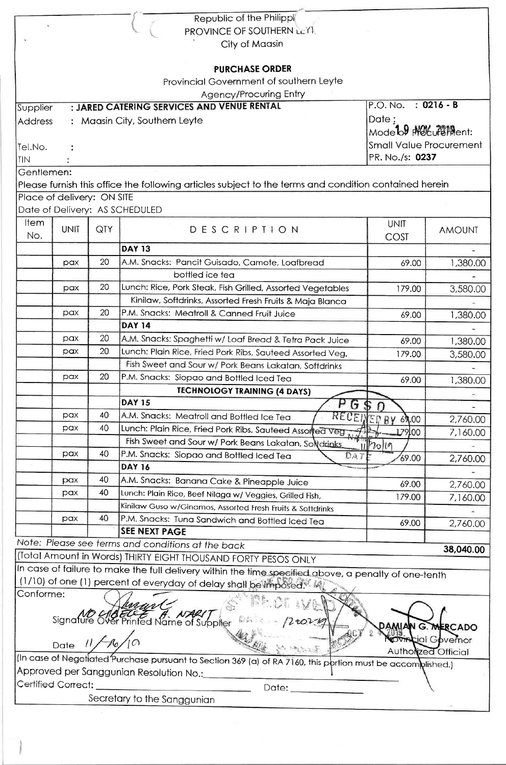|                                                                                                                                                                             |                         |     | Republic of the Philippi                                                                              |                                  |                          |  |
|-----------------------------------------------------------------------------------------------------------------------------------------------------------------------------|-------------------------|-----|-------------------------------------------------------------------------------------------------------|----------------------------------|--------------------------|--|
|                                                                                                                                                                             |                         |     | PROVINCE OF SOUTHERN LEYI                                                                             |                                  |                          |  |
| City of Maasin                                                                                                                                                              |                         |     |                                                                                                       |                                  |                          |  |
|                                                                                                                                                                             |                         |     |                                                                                                       |                                  |                          |  |
|                                                                                                                                                                             |                         |     | <b>PURCHASE ORDER</b>                                                                                 |                                  |                          |  |
|                                                                                                                                                                             |                         |     | Provincial Government of southern Leyte                                                               |                                  |                          |  |
|                                                                                                                                                                             |                         |     | Agency/Procuring Entry                                                                                |                                  |                          |  |
| Supplier                                                                                                                                                                    |                         |     | : JARED CATERING SERVICES AND VENUE RENTAL                                                            | $P.O. No. : 0216 - B$            |                          |  |
| <b>Address</b>                                                                                                                                                              |                         |     | : Maasin City, Southern Leyte                                                                         | Date:                            |                          |  |
|                                                                                                                                                                             |                         |     |                                                                                                       | Mode <sup>1</sup> b9 MotureMent: |                          |  |
| Tel.No.                                                                                                                                                                     | Small Value Procurement |     |                                                                                                       |                                  |                          |  |
| TIN                                                                                                                                                                         | PR. No./s: 0237         |     |                                                                                                       |                                  |                          |  |
| Gentlemen:                                                                                                                                                                  |                         |     |                                                                                                       |                                  |                          |  |
|                                                                                                                                                                             |                         |     | Please furnish this office the following articles subject to the terms and condition contained herein |                                  |                          |  |
| Place of delivery: ON SITE                                                                                                                                                  |                         |     |                                                                                                       |                                  |                          |  |
|                                                                                                                                                                             |                         |     | Date of Delivery: AS SCHEDULED                                                                        |                                  |                          |  |
| <b>Item</b>                                                                                                                                                                 |                         |     |                                                                                                       |                                  |                          |  |
| No.                                                                                                                                                                         | <b>UNIT</b>             | QTY | DESCRIPTION                                                                                           | <b>UNIT</b>                      | <b>AMOUNT</b>            |  |
|                                                                                                                                                                             |                         |     | <b>DAY 13</b>                                                                                         | COST                             |                          |  |
|                                                                                                                                                                             |                         |     |                                                                                                       |                                  | $\overline{\phantom{a}}$ |  |
|                                                                                                                                                                             | pax                     | 20  | A.M. Snacks: Pancit Guisado, Camote, Loafbread                                                        | 69.00                            | 1,380.00                 |  |
|                                                                                                                                                                             |                         |     | bottled ice tea                                                                                       |                                  |                          |  |
|                                                                                                                                                                             | pax                     | 20  | Lunch: Rice, Pork Steak, Fish Grilled, Assorted Vegetables                                            | 179.00                           | 3,580.00                 |  |
|                                                                                                                                                                             |                         |     | Kinilaw, Softdrinks, Assorted Fresh Fruits & Maja Blanca                                              |                                  |                          |  |
|                                                                                                                                                                             | pax                     | 20  | P.M. Snacks: Meatroll & Canned Fruit Juice                                                            | 69.00                            | 1,380.00                 |  |
|                                                                                                                                                                             |                         |     | <b>DAY 14</b>                                                                                         |                                  |                          |  |
|                                                                                                                                                                             | рах                     | 20  | A.M. Snacks: Spaghetti w/ Loaf Bread & Tetra Pack Juice                                               | 69.00                            | 1,380.00                 |  |
|                                                                                                                                                                             | pax                     | 20  | Lunch: Plain Rice, Fried Pork Ribs, Sauteed Assorted Veg.                                             | 179.00                           | 3,580.00                 |  |
|                                                                                                                                                                             |                         |     | Fish Sweet and Sour w/ Pork Beans Lakatan, Softdrinks                                                 |                                  |                          |  |
|                                                                                                                                                                             | рах                     | 20  | P.M. Snacks: Siopao and Bottled Iced Tea                                                              | 69.00                            | 1,380.00                 |  |
|                                                                                                                                                                             |                         |     | <b>TECHNOLOGY TRAINING (4 DAYS)</b>                                                                   |                                  |                          |  |
|                                                                                                                                                                             |                         |     | <b>DAY 15</b><br>ΡG                                                                                   |                                  |                          |  |
|                                                                                                                                                                             | pax                     | 40  | A.M. Snacks: Meatroll and Bottled Ice Tea                                                             | <b>RECEIVED BY 69.00</b>         | 2,760.00                 |  |
|                                                                                                                                                                             | pax                     | 40  | Lunch: Plain Rice, Fried Pork Ribs, Sauteed Assorted Veg                                              | 179,00                           | 7,160.00                 |  |
|                                                                                                                                                                             |                         |     | Fish Sweet and Sour w/ Pork Beans Lakatan, Solidrinks                                                 | 11/2019                          |                          |  |
|                                                                                                                                                                             | pax                     | 40  | P.M. Snacks: Siopao and Bottled Iced Tea<br>DA7                                                       | 69.00                            | 2,760.00                 |  |
|                                                                                                                                                                             |                         |     | <b>DAY 16</b>                                                                                         |                                  |                          |  |
|                                                                                                                                                                             | pax                     | 40  | A.M. Snacks: Banana Cake & Pineapple Juice                                                            | 69.00                            | 2,760.00                 |  |
|                                                                                                                                                                             | pax                     | 40  | Lunch: Plain Rice, Beef Nilaga w/ Veggies, Grilled Fish,                                              | 179.00                           | 7,160.00                 |  |
|                                                                                                                                                                             |                         |     | Kinilaw Guso w/Ginamos, Assorted Fresh Fruits & Softdrinks                                            |                                  |                          |  |
|                                                                                                                                                                             | pax                     | 40  | P.M. Snacks: Tuna Sandwich and Bottled Iced Tea                                                       | 69.00                            | 2,760.00                 |  |
|                                                                                                                                                                             |                         |     | <b>SEE NEXT PAGE</b>                                                                                  |                                  |                          |  |
|                                                                                                                                                                             |                         |     | Note: Please see terms and conditions at the back                                                     |                                  | 38,040.00                |  |
|                                                                                                                                                                             |                         |     | (Total Amount in Words) THIRTY EIGHT THOUSAND FORTY PESOS ONLY                                        |                                  |                          |  |
|                                                                                                                                                                             |                         |     |                                                                                                       |                                  |                          |  |
| In case of failure to make the full delivery within the time specified above, a penalty of one-tenth<br>(1/10) of one (1) percent of everyday of delay shall be imposed. My |                         |     |                                                                                                       |                                  |                          |  |
| Conforme:                                                                                                                                                                   |                         |     |                                                                                                       |                                  |                          |  |
|                                                                                                                                                                             |                         |     |                                                                                                       |                                  |                          |  |
| Signature Over Printed Name of Supplier                                                                                                                                     |                         |     |                                                                                                       |                                  |                          |  |
| N G. MERCADO                                                                                                                                                                |                         |     |                                                                                                       |                                  |                          |  |
| Date $11/16/10$<br><b>COMPLIAL</b> Governor                                                                                                                                 |                         |     |                                                                                                       |                                  |                          |  |
| <b>Authorized Official</b><br>(In case of Negotiated Purchase pursuant to Section 369 (a) of RA 7160, this portion must be accomplished.)                                   |                         |     |                                                                                                       |                                  |                          |  |
| Approved per Sanggunian Resolution No.:______                                                                                                                               |                         |     |                                                                                                       |                                  |                          |  |
| Certified Correct:                                                                                                                                                          |                         |     |                                                                                                       |                                  |                          |  |
| Secretary to the Sanggunian                                                                                                                                                 |                         |     |                                                                                                       |                                  |                          |  |
|                                                                                                                                                                             |                         |     |                                                                                                       |                                  |                          |  |